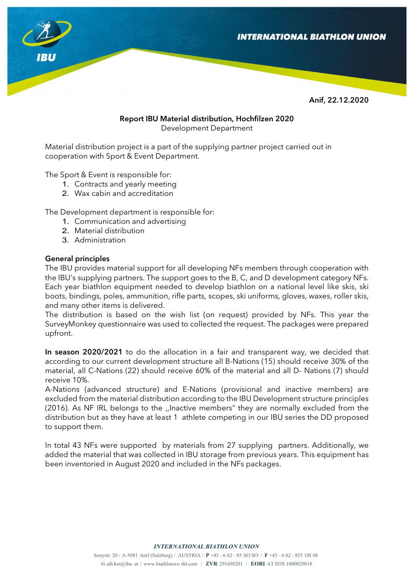

Anif, 22.12.2020

#### Report IBU Material distribution, Hochfilzen 2020 Development Department

Material distribution project is a part of the supplying partner project carried out in cooperation with Sport & Event Department.

The Sport & Event is responsible for:

- 1. Contracts and yearly meeting
- 2. Wax cabin and accreditation

The Development department is responsible for:

- 1. Communication and advertising
- 2. Material distribution
- 3. Administration

#### General principles

The IBU provides material support for all developing NFs members through cooperation with the IBU's supplying partners. The support goes to the B, C, and D development category NFs. Each year biathlon equipment needed to develop biathlon on a national level like skis, ski boots, bindings, poles, ammunition, rifle parts, scopes, ski uniforms, gloves, waxes, roller skis, and many other items is delivered.

The distribution is based on the wish list (on request) provided by NFs. This year the SurveyMonkey questionnaire was used to collected the request. The packages were prepared upfront.

In season 2020/2021 to do the allocation in a fair and transparent way, we decided that according to our current development structure all B-Nations (15) should receive 30% of the material, all C-Nations (22) should receive 60% of the material and all D-Nations (7) should receive 10%.

A-Nations (advanced structure) and E-Nations (provisional and inactive members) are excluded from the material distribution according to the IBU Development structure principles (2016). As NF IRL belongs to the ,,Inactive members" they are normally excluded from the distribution but as they have at least 1 athlete competing in our IBU series the DD proposed to support them.

In total 43 NFs were supported by materials from 27 supplying partners. Additionally, we added the material that was collected in IBU storage from previous years. This equipment has been inventoried in August 2020 and included in the NFs packages.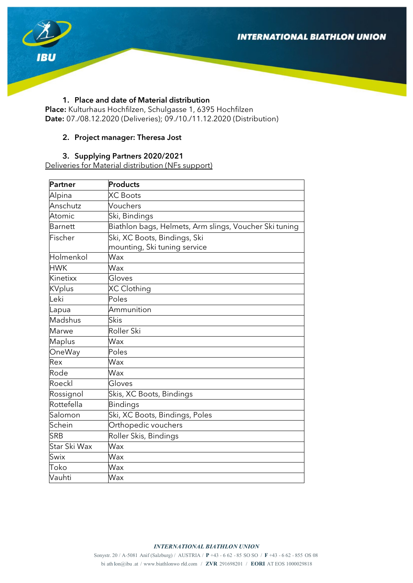

### 1. Place and date of Material distribution

Place: Kulturhaus Hochfilzen, Schulgasse 1, 6395 Hochfilzen Date: 07./08.12.2020 (Deliveries); 09./10./11.12.2020 (Distribution)

### 2. Project manager: Theresa Jost

#### 3. Supplying Partners 2020/2021

Deliveries for Material distribution (NFs support)

| Partner       | Products                                               |  |  |  |
|---------------|--------------------------------------------------------|--|--|--|
| Alpina        | <b>XC</b> Boots                                        |  |  |  |
| Anschutz      | Vouchers                                               |  |  |  |
| Atomic        | Ski, Bindings                                          |  |  |  |
| Barnett       | Biathlon bags, Helmets, Arm slings, Voucher Ski tuning |  |  |  |
| Fischer       | Ski, XC Boots, Bindings, Ski                           |  |  |  |
|               | mounting, Ski tuning service                           |  |  |  |
| Holmenkol     | Wax                                                    |  |  |  |
| <b>HWK</b>    | Wax                                                    |  |  |  |
| Kinetixx      | Gloves                                                 |  |  |  |
| <b>KVplus</b> | XC Clothing                                            |  |  |  |
| Leki          | Poles                                                  |  |  |  |
| Lapua         | Ammunition                                             |  |  |  |
| Madshus       | Skis                                                   |  |  |  |
| <b>Marwe</b>  | Roller Ski                                             |  |  |  |
| Maplus        | Wax                                                    |  |  |  |
| <b>OneWay</b> | Poles                                                  |  |  |  |
| Rex           | Wax                                                    |  |  |  |
| Rode          | Wax                                                    |  |  |  |
| Roeckl        | Gloves                                                 |  |  |  |
| Rossignol     | Skis, XC Boots, Bindings                               |  |  |  |
| Rottefella    | Bindings                                               |  |  |  |
| Salomon       | Ski, XC Boots, Bindings, Poles                         |  |  |  |
| Schein        | Orthopedic vouchers                                    |  |  |  |
| <b>SRB</b>    | Roller Skis, Bindings                                  |  |  |  |
| Star Ski Wax  | Wax                                                    |  |  |  |
| Swix          | Wax                                                    |  |  |  |
| Toko          | Wax                                                    |  |  |  |
| Vauhti        | Wax                                                    |  |  |  |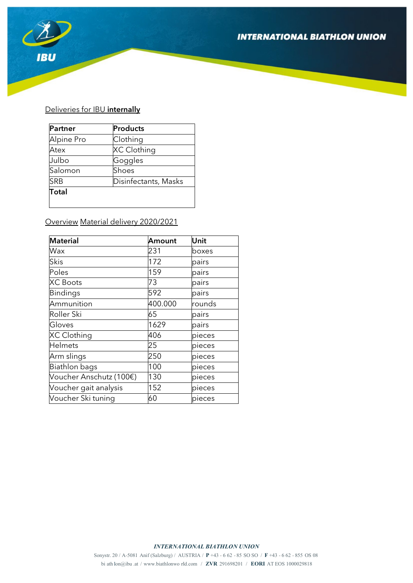## **INTERNATIONAL BIATHLON UNION**



# Deliveries for IBU internally

| Partner      | Products             |
|--------------|----------------------|
| Alpine Pro   | Clothing             |
| Atex         | XC Clothing          |
| Julbo        | Goggles              |
| Salomon      | Shoes                |
| <b>SRB</b>   | Disinfectants, Masks |
| <b>Total</b> |                      |
|              |                      |

Overview Material delivery 2020/2021

| <b>Material</b>         | Amount  | Unit   |
|-------------------------|---------|--------|
| Wax                     | 231     | boxes  |
| Skis                    | 172     | pairs  |
| Poles                   | 159     | pairs  |
| <b>XC Boots</b>         | 73      | pairs  |
| <b>Bindings</b>         | 592     | pairs  |
| Ammunition              | 400.000 | rounds |
| Roller Ski              | 65      | pairs  |
| Gloves                  | 1629    | pairs  |
| XC Clothing             | 406     | pieces |
| <b>Helmets</b>          | 25      | pieces |
| Arm slings              | 250     | pieces |
| Biathlon bags           | 100     | pieces |
| Voucher Anschutz (100€) | 130     | pieces |
| Voucher gait analysis   | 152     | pieces |
| Voucher Ski tuning      | 60      | pieces |